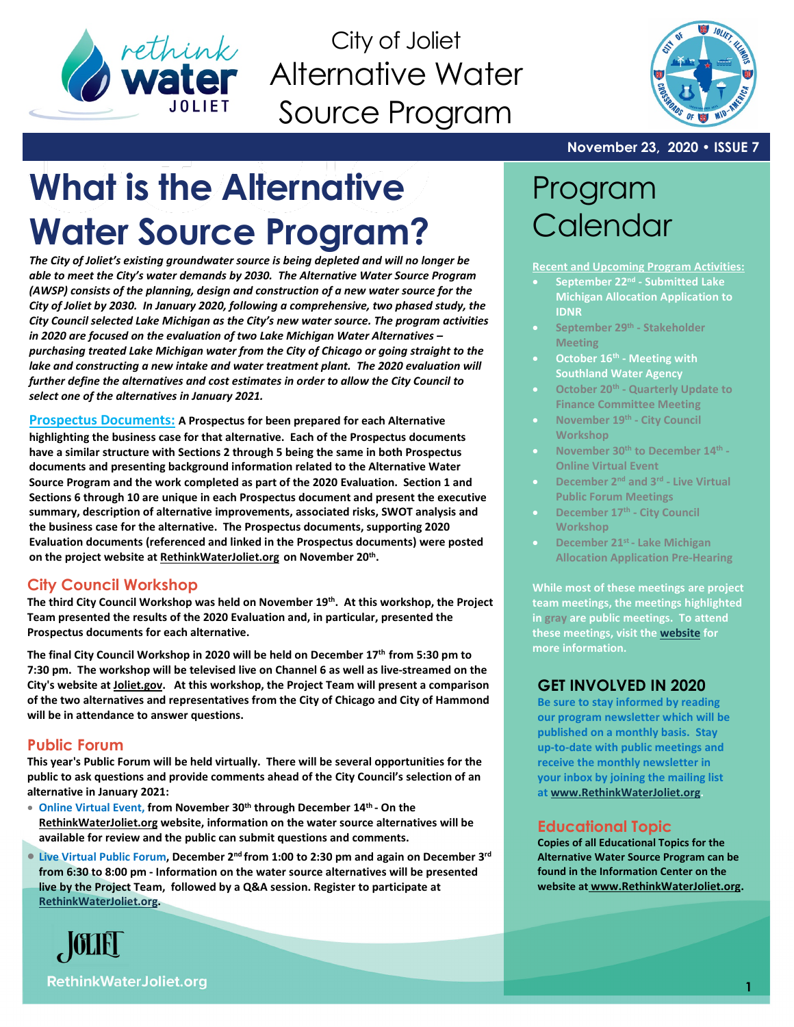

City of Joliet Alternative Water Source Program



### **November 23, 2020 • ISSUE 7**

# **What is the Alternative Water Source Program?**

*The City of Joliet's existing groundwater source is being depleted and will no longer be able to meet the City's water demands by 2030. The Alternative Water Source Program (AWSP) consists of the planning, design and construction of a new water source for the City of Joliet by 2030. In January 2020, following a comprehensive, two phased study, the City Council selected Lake Michigan as the City's new water source. The program activities in 2020 are focused on the evaluation of two Lake Michigan Water Alternatives – purchasing treated Lake Michigan water from the City of Chicago or going straight to the*  lake and constructing a new intake and water treatment plant. The 2020 evaluation will *further define the alternatives and cost estimates in order to allow the City Council to select one of the alternatives in January 2021.* 

**Prospectus Documents: A Prospectus for been prepared for each Alternative highlighting the business case for that alternative. Each of the Prospectus documents have a similar structure with Sections 2 through 5 being the same in both Prospectus documents and presenting background information related to the Alternative Water Source Program and the work completed as part of the 2020 Evaluation. Section 1 and Sections 6 through 10 are unique in each Prospectus document and present the executive summary, description of alternative improvements, associated risks, SWOT analysis and the business case for the alternative. The Prospectus documents, supporting 2020 Evaluation documents (referenced and linked in the Prospectus documents) were posted on the project website at [RethinkWaterJoliet.org](https://www.rethinkwaterjoliet.org/copy-of-public-forum-3) on November 20th.** 

# **City Council Workshop**

**The third City Council Workshop was held on November 19th. At this workshop, the Project Team presented the results of the 2020 Evaluation and, in particular, presented the Prospectus documents for each alternative.** 

**The final City Council Workshop in 2020 will be held on December 17th from 5:30 pm to 7:30 pm. The workshop will be televised live on Channel 6 as well as live-streamed on the City's website a[t Joliet.gov.](http://www.joliet.gov/) At this workshop, the Project Team will present a comparison of the two alternatives and representatives from the City of Chicago and City of Hammond will be in attendance to answer questions.**

## **Public Forum**

**This year's Public Forum will be held virtually. There will be several opportunities for the public to ask questions and provide comments ahead of the City Council's selection of an alternative in January 2021:**

- **Online Virtual Event, from November 30th through December 14th - On the [RethinkWaterJoliet.org](http://www.rethinkwaterjoliet.org/) website, information on the water source alternatives will be available for review and the public can submit questions and comments.**
- **Live Virtual Public Forum, December 2nd from 1:00 to 2:30 pm and again on December 3rd from 6:30 to 8:00 pm - Information on the water source alternatives will be presented live by the Project Team, followed by a Q&A session. Register to participate at [RethinkWaterJoliet.org.](http://www.rethinkwaterjoliet.org/)**



# Program **Calendar**

**Recent and Upcoming Program Activities:**

- **September 22nd - Submitted Lake Michigan Allocation Application to IDNR**
- **September 29th - Stakeholder Meeting**
- **October 16th - Meeting with Southland Water Agency**
- **October 20th - Quarterly Update to Finance Committee Meeting**
- **November 19th - City Council Workshop**
- **November 30th to December 14th - Online Virtual Event**
- **December 2nd and 3rd - Live Virtual Public Forum Meetings**
- **December 17th - City Council Workshop**
- **December 21st - Lake Michigan Allocation Application Pre-Hearing**

**While most of these meetings are project team meetings, the meetings highlighted in gray are public meetings. To attend these meetings, visit the [website](http://www.joliet.gov/) for more information.**

## **GET INVOLVED IN 2020**

**Be sure to stay informed by reading our program newsletter which will be published on a monthly basis. Stay up-to-date with public meetings and receive the monthly newsletter in your inbox by joining the mailing list at [www.RethinkWaterJoliet.org.](http://www.rethinkwaterjoliet.org/)** 

# **Educational Topic**

**Copies of all Educational Topics for the Alternative Water Source Program can be found in the Information Center on the website at [www.RethinkWaterJoliet.org.](http://www.rethinkwaterjoliet.org/)**